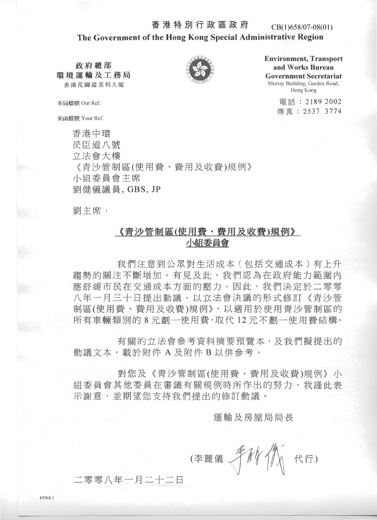#### 香港特別行政區政府

#### CB(1)658/07-08(01)

#### The Government of the Hong Kong Special Administrative Region

政府總部 環境運輸及工務局 香港花園道美利大廈



**Environment, Transport** and Works Bureau **Government Secretariat** Murray Building, Garden Road, Hong Kong

> 電話: 2189 2002 傳直: 2537 3774

本局檔號 Our Ref.

來函檔號 Your Ref.

香港中環 昃臣道八號 立法會大樓 《青沙管制區(使用費、費用及收費)規例》 小組委員會主席 劉健儀議員, GBS, JP

劉主席,

### 《青沙管制區(使用費、費用及收費)規例》 小組委員會

我們注意到公眾對生活成本 ( 包括交通成本) 有上升 **趨勢的關注不斷增加。有見及此,我們認為在政府能力範圍內** 應舒緩市民在交通成本方面的壓力。因此,我們決定於二零零 八年一月三十日提出動議,以立法會決議的形式修訂《青沙管 制區(使用費、費用及收費)規例》,以適用於使用青沙管制區的 所有車輛類別的8元劃一使用費,取代12元不劃一使用費結構。

有關的立法會參考資料摘要預覽本,及我們擬提出的 動議文本,載於附件A及附件B以供參考。

對您及《青沙管制區(使用費、費用及收費)規例》小 組委員會其他委員在審議有關規例時所作出的努力,我謹此表 示謝意,並期望您支持我們提出的修訂動議。

運輸及房屋局局長

代行) (李麗儀

.零零八年一月二十二日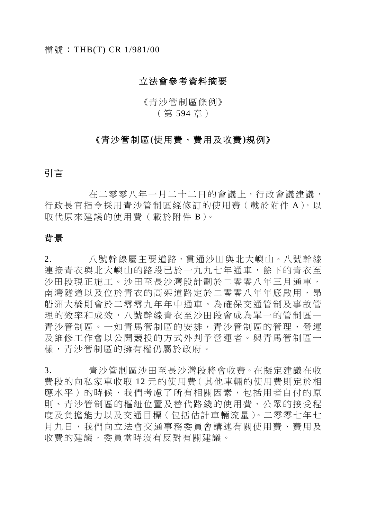#### 立法會參考資料摘要

### 《青沙管制區條例》 (第 594 章)

### 《青沙管制區**(**使用費、費用及收費**)**規例》

### 引言

 在二零零八年一月二十二日的會議上,行政會議建議, 行政長官指今採用青沙管制區經修訂的使用費 ( 載於附件 A ), 以 取代原來建議的使用費(載於附件 B)。

#### 背景

2. 八號幹線屬主要道路,貫通沙田與北大嶼山。八號幹線 連接青衣與北大嶼山的路段已於一九九七年通車,餘下的青衣至 沙田段現正施工。沙田至長沙灣段計劃於二零零八年三月通車, 南灣隧道以及位於青衣的高架道路定於二零零八年年底啟用,昂 船洲大橋則會於二零零九年年中通車。為確保交通管制及事故管 理的效率和成效,八號幹線青衣至沙田段會成為單一的管制區— 青沙管制區。一如青馬管制區的安排,青沙管制區的管理、營運 及維修工作會以公開競投的方式外判予營運者。與青馬管制區一 樣,青沙管制區的擁有權仍屬於政府。

3. 青沙管制區沙田至長沙灣段將會收費。在擬定建議在收 費段的向私家車收取 12 元的使用費(其他車輛的使用費則定於相 應水平)的時候,我們考慮了所有相關因素,包括用者自付的原 則、青沙管制區的樞紐位置及替代路綫的使用費、公眾的接受程 度及負擔能力以及交通目標(包括估計車輛流量)。二零零七年七 月九日,我們向立法會交通事務委員會講述有關使用費、費用及 收費的建議,委員當時沒有反對有關建議。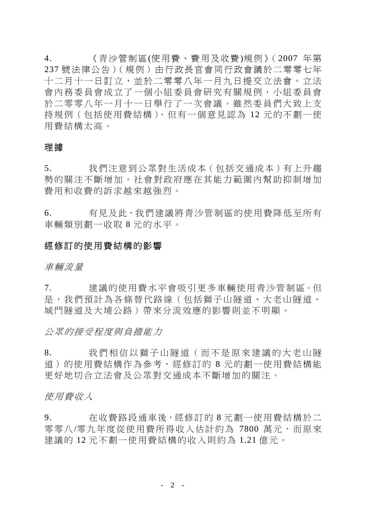4. 《青沙管制區(使用費、費用及收費)規例》(2007 年 第 237 號法律公告)(規例)由行政長官會同行政會議於二零零七年 十二月十一日訂立,並於二零零八年一月九日提交立法會。立法 會內務委員會成立了一個小組委員會研究有關規例,小組委員會 於二零零八年一月十一日舉行了一次會議。雖然委員們大致上支 持規例(包括使用費結構),但有一個意見認為 12 元的不劃一使 用費結構太高。

#### 理據

5. 我們注意到公眾對生活成本(包括交通成本)有上升趨 勢的關注不斷增加。社會對政府應在其能力範圍內幫助抑制增加 費用和收費的訴求越來越強烈。

6. 有見及此,我們建議將青沙管制區的使用費降低至所有 車輛類別劃一收取 8 元的水平。

#### 經修訂的使用費結構的影響

車輛流量

7. 建議的使用費水平會吸引更多車輛使用青沙管制區。但 是,我們預計為各條替代路線(包括獅子山隧道、大老山隧道、 城門隧道及大埔公路)帶來分流效應的影響則並不明顯。

公眾的接受程度與負擔能力

8. 我們相信以獅子山隧道( 而不是原來建議的大老山隧 道)的使用費結構作為參考,經修訂的 8 元的劃一使用費結構能 更好地切合立法會及公眾對交通成本不斷增加的關注。

使用費收入

9. 在收費路段通車後,經修訂的 8 元劃一使用費結構於二 零零八/零九年度從使用費所得收入估計約為 7800 萬元,而原來 建議的 12 元不劃一使用費結構的收入則約為 1.21 億元。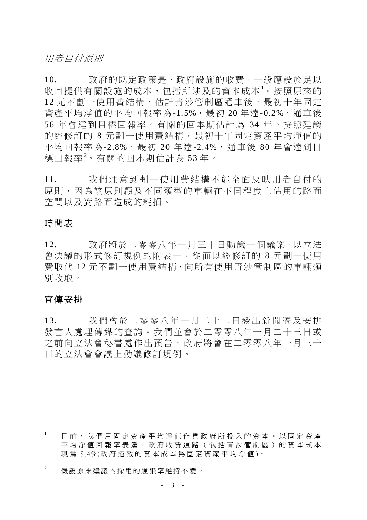用者自付原則

10. 政府的既定政策是,政府設施的收費,一般應設於足以 收回提供有關設施的成本,包括所涉及的資本成本<sup>1</sup> 。按照原來的 12 元不劃一使用費結構,估計青沙管制區通車後,最初十年固定 資產平均淨值的平均回報率為-1.5%,最初 20 年達-0.2%,通車後 56 年會達到目標回報率。有關的回本期估計為 34 年。按照建議 的經修訂的 8 元劃一使用費結構,最初十年固定資產平均淨值的 平均回報率為-2.8%,最初 20年達-2.4%,通車後 80年會達到目 標回報率<sup>2</sup> 。有關的回本期估計為 53 年。

11. 我們注意到劃一使用費結 構不能全面反映用者自付的 原則,因為該原則顧及不同類型的車輛在不同程度上佔用的路面 空間以及對路面造成的耗損。

#### 時間表

12. 政府將於二零零八年一月三十日動議一個議案,以立法 會決議的形式修訂規例的附表一,從而以經修訂的 8 元劃一使用 費取代 12 元不劃一使用費結構,向所有使用青沙管制區的車輛類 別收取。

#### 宣傳安排

 $\overline{a}$ 

13. 我們會於二零零八年一月 二十二日發出新聞稿及安排 發言人處理傳媒的查詢。我們並會於二零零八年一月二十三日或 之前向立法會秘書處作出預告,政府將會在二零零八年一月三十 日的立法會會議上動議修訂規例。

<sup>1</sup> 目前,我們用固定資產平均凈值作為政府所投入的資本。以固定資產 平均淨值回報率表達,政府收費道路(包括青沙管制區)的資本成本 現為 8.4%(政府招致的資本成本為固定資產平均淨值)。

<sup>2</sup> 假設原來建議內採用的通脹率維持不變。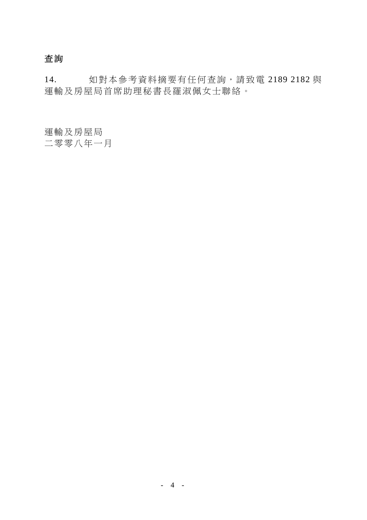## 查詢

14. 如對本參考資料摘要有任何查詢,請致電 2189 2182 與 運輸及房屋局首席助理秘書長羅淑佩女士聯絡。

運輸及房屋局

二零零八年一月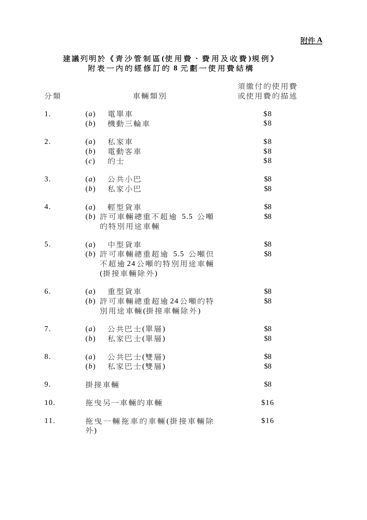### 建議列明於《青沙管制區 **(**使用費、費用及收費 **)**規例》 附表一內的經修訂的 **8** 元劃一使用費結構

| 分類  | 車輛類別                                                             | 須繳付的使用費<br>或使用費的描述 |
|-----|------------------------------------------------------------------|--------------------|
| 1.  | (a)<br>電單車<br>(b)<br>機動三輪車                                       | \$8<br>\$8         |
| 2.  | 私家車<br>(a)<br>$(b)$ 電動客車<br>(c)<br>的士                            | \$8<br>\$8<br>\$8  |
| 3.  | $(a)$ 公共小巴<br>$(b)$ 私家小巴                                         | \$8<br>\$8         |
| 4.  | 輕型貨車<br>(a)<br>(b) 許可車輛總重不超逾 5.5 公噸<br>的特別用途車輛                   | \$8<br>\$8         |
| 5.  | $(a)$ 中型貨車<br>(b) 許可車輛總重超逾 5.5 公噸但<br>不超逾24公噸的特別用途車輛<br>(掛接車輛除外) | \$8<br>\$8         |
| 6.  | $(a)$ 重型貨車<br>(b) 許可車輛總重超逾 24公噸的特<br>別用途車輛(掛接車輛除外)               | \$8<br>\$8         |
| 7.  | (a) 公共巴士(單層)<br>(b) 私家巴士(單層)                                     | \$8<br>\$8         |
| 8.  | 公共巴士(雙層)<br>(a)<br>私家巴士(雙層)<br>(b)                               | \$8<br>\$8         |
| 9.  | 掛接車輛                                                             | \$8                |
| 10. | 拖曳另一車輛的車輛                                                        | \$16               |
| 11. | 拖曳一輛拖車的車輛(掛接車輛除<br>外)                                            | \$16               |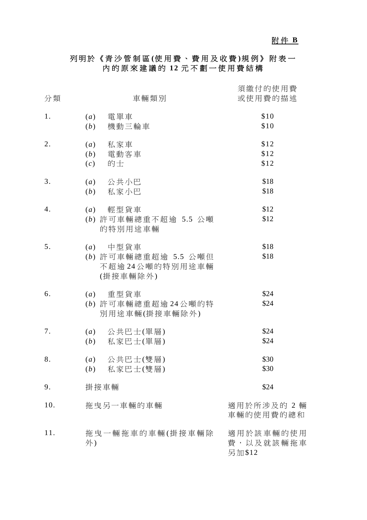# 附 件 **B**

### 列明於《青沙管制區 **(**使用費、費用及收費 **)**規例》附表一 內的原來建議的 **12** 元不劃一使用費結構

| 分類  | 車輛類別                                                             | 須繳付的使用費<br>或使用費的描述               |
|-----|------------------------------------------------------------------|----------------------------------|
| 1.  | 電單車<br>(a)<br>機動三輪車<br>(b)                                       | \$10<br>\$10                     |
| 2.  | 私家車<br>(a)<br>電動客車<br>(b)<br>的士<br>(c)                           | \$12<br>\$12<br>\$12             |
| 3.  | $(a)$ 公共小巴<br>私家小巴<br>(b)                                        | \$18<br>\$18                     |
| 4.  | $(a)$ 輕型貨車<br>(b) 許可車輛總重不超逾 5.5 公噸<br>的特別用途車輛                    | \$12<br>\$12                     |
| 5.  | $(a)$ 中型貨車<br>(b) 許可車輛總重超逾 5.5 公噸但<br>不超逾24公噸的特別用途車輛<br>(掛接車輛除外) | \$18<br>\$18                     |
| 6.  | $(a)$ 重型貨車<br>(b) 許可車輛總重超逾 24公噸的特<br>別用途車輛(掛接車輛除外)               | \$24<br>\$24                     |
| 7.  | $(a)$ 公共巴士(單層)<br>私家巴士(單層)<br>(b)                                | \$24<br>\$24                     |
| 8.  | 公共巴士(雙層)<br>$\left( a\right)$<br>(b) 私家巴士(雙層)                    | \$30<br>\$30                     |
| 9.  | 掛接車輛                                                             | \$24                             |
| 10. | 拖曳另一車輛的車輛                                                        | 適用於所涉及的 2 輛<br>車輛的使用費的總和         |
| 11. | 拖曳一輛拖車的車輛(掛接車輛除<br>外)                                            | 適用於該車輛的使用<br>費,以及就該輛拖車<br>另加\$12 |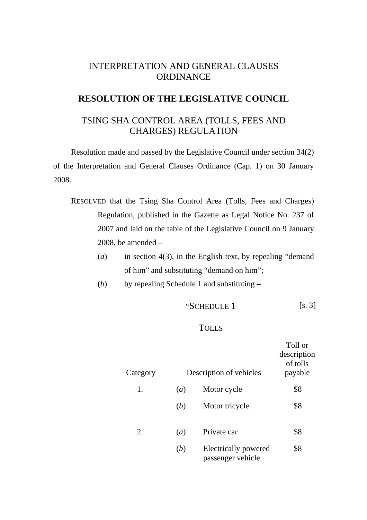### INTERPRETATION AND GENERAL CLAUSES **ORDINANCE**

### **RESOLUTION OF THE LEGISLATIVE COUNCIL**

### TSING SHA CONTROL AREA (TOLLS, FEES AND CHARGES) REGULATION

Resolution made and passed by the Legislative Council under section 34(2) of the Interpretation and General Clauses Ordinance (Cap. 1) on 30 January 2008.

- RESOLVED that the Tsing Sha Control Area (Tolls, Fees and Charges) Regulation, published in the Gazette as Legal Notice No. 237 of 2007 and laid on the table of the Legislative Council on 9 January 2008, be amended  $-$ 
	- (*a*) in section 4(3), in the English text, by repealing "demand of him" and substituting "demand on him";
	- (*b*) by repealing Schedule 1 and substituting –

$$
"SCHEDULE 1 [s. 3]
$$

#### TOLLS

| Category |     | Description of vehicles                   | Toll or<br>description<br>of tolls<br>payable |
|----------|-----|-------------------------------------------|-----------------------------------------------|
| 1.       | (a) | Motor cycle                               | \$8                                           |
|          | (b) | Motor tricycle                            | \$8                                           |
| 2.       | (a) | Private car                               | \$8                                           |
|          | (b) | Electrically powered<br>passenger vehicle | \$8                                           |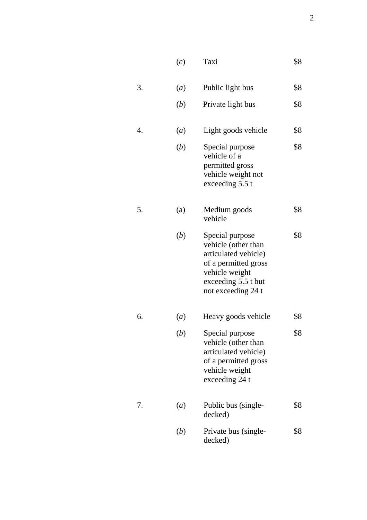|    | (c)              | Taxi                                                                                                                                                  | \$8 |
|----|------------------|-------------------------------------------------------------------------------------------------------------------------------------------------------|-----|
| 3. | (a)              | Public light bus                                                                                                                                      | \$8 |
|    | ( <i>b</i> )     | Private light bus                                                                                                                                     | \$8 |
| 4. | $\left(a\right)$ | Light goods vehicle                                                                                                                                   | \$8 |
|    | ( <i>b</i> )     | Special purpose<br>vehicle of a<br>permitted gross<br>vehicle weight not<br>exceeding 5.5 t                                                           | \$8 |
| 5. | (a)              | Medium goods<br>vehicle                                                                                                                               | \$8 |
|    | ( <i>b</i> )     | Special purpose<br>vehicle (other than<br>articulated vehicle)<br>of a permitted gross<br>vehicle weight<br>exceeding 5.5 t but<br>not exceeding 24 t | \$8 |
| 6. | (a)              | Heavy goods vehicle                                                                                                                                   | \$8 |
|    | ( <i>b</i> )     | Special purpose<br>vehicle (other than<br>articulated vehicle)<br>of a permitted gross<br>vehicle weight<br>exceeding 24 t                            | \$8 |
| 7. | (a)              | Public bus (single-<br>decked)                                                                                                                        | \$8 |
|    | ( <i>b</i> )     | Private bus (single-<br>decked)                                                                                                                       | \$8 |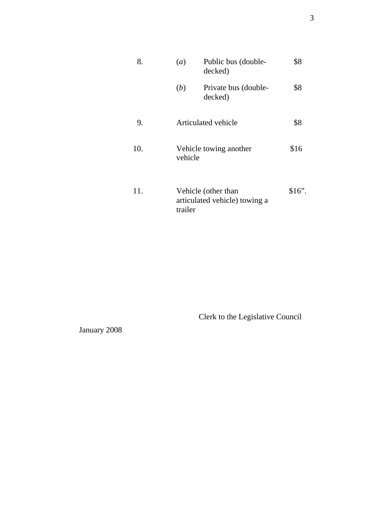| 8.  | Public bus (double-<br>(a)<br>decked)                           | \$8      |
|-----|-----------------------------------------------------------------|----------|
|     | (b)<br>Private bus (double-<br>decked)                          | \$8      |
| 9.  | Articulated vehicle                                             | \$8      |
| 10. | Vehicle towing another<br>vehicle                               | \$16     |
| 11. | Vehicle (other than<br>articulated vehicle) towing a<br>trailer | $$16$ ". |

Clerk to the Legislative Council

January 2008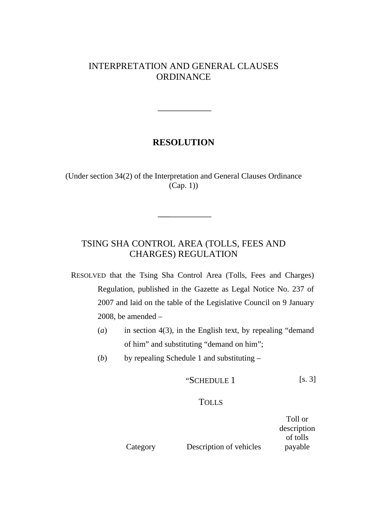### INTERPRETATION AND GENERAL CLAUSES ORDINANCE

### **RESOLUTION**

(Under section 34(2) of the Interpretation and General Clauses Ordinance (Cap. 1))

## TSING SHA CONTROL AREA (TOLLS, FEES AND CHARGES) REGULATION

RESOLVED that the Tsing Sha Control Area (Tolls, Fees and Charges) Regulation, published in the Gazette as Legal Notice No. 237 of 2007 and laid on the table of the Legislative Council on 9 January 2008, be amended  $-$ 

- (*a*) in section 4(3), in the English text, by repealing "demand of him" and substituting "demand on him";
- (*b*) by repealing Schedule 1 and substituting –

$$
"SCHEDULE 1 [s. 3]
$$

#### TOLLS

|          |                         | Toll or     |
|----------|-------------------------|-------------|
|          |                         | description |
|          |                         | of tolls    |
| Category | Description of vehicles | payable     |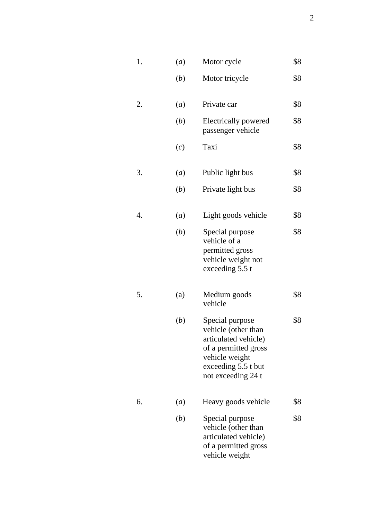| 1. | (a)              | Motor cycle                                                                                                                                           | \$8 |
|----|------------------|-------------------------------------------------------------------------------------------------------------------------------------------------------|-----|
|    | (b)              | Motor tricycle                                                                                                                                        | \$8 |
| 2. | (a)              | Private car                                                                                                                                           | \$8 |
|    | ( <i>b</i> )     | Electrically powered<br>passenger vehicle                                                                                                             | \$8 |
|    | (c)              | Taxi                                                                                                                                                  | \$8 |
| 3. | (a)              | Public light bus                                                                                                                                      | \$8 |
|    | ( <i>b</i> )     | Private light bus                                                                                                                                     | \$8 |
| 4. | (a)              | Light goods vehicle                                                                                                                                   | \$8 |
|    | ( <i>b</i> )     | Special purpose<br>vehicle of a<br>permitted gross<br>vehicle weight not<br>exceeding 5.5 t                                                           | \$8 |
| 5. | (a)              | Medium goods<br>vehicle                                                                                                                               | \$8 |
|    | ( <i>b</i> )     | Special purpose<br>vehicle (other than<br>articulated vehicle)<br>of a permitted gross<br>vehicle weight<br>exceeding 5.5 t but<br>not exceeding 24 t | \$8 |
| 6. | $\left(a\right)$ | Heavy goods vehicle                                                                                                                                   | \$8 |
|    | ( <i>b</i> )     | Special purpose<br>vehicle (other than<br>articulated vehicle)<br>of a permitted gross<br>vehicle weight                                              | \$8 |